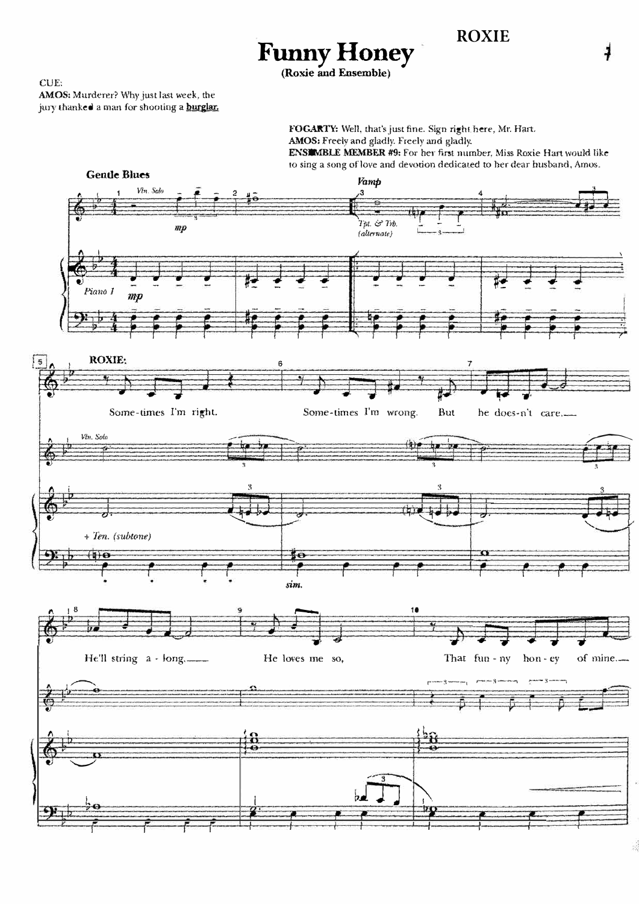**ROXIE** 

**CUE:** 

AMOS: Murderer? Why just last week, the jury thanked a man for shooting a **burglar**.

> FOGARTY: Well, that's just fine. Sign right here, Mr. Hart. AMOS: Freely and gladly. Freely and gladly.

ENSIMBLE MEMBER #9: For her first number, Miss Roxie Hart would like to sing a song of love and devotion dedicated to her dear husband, Amos.



Funny Honey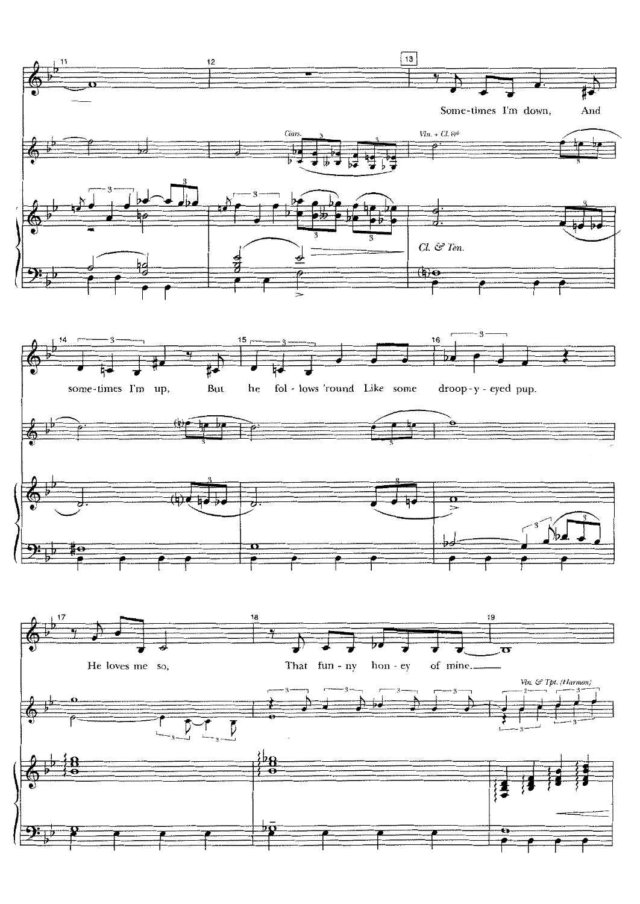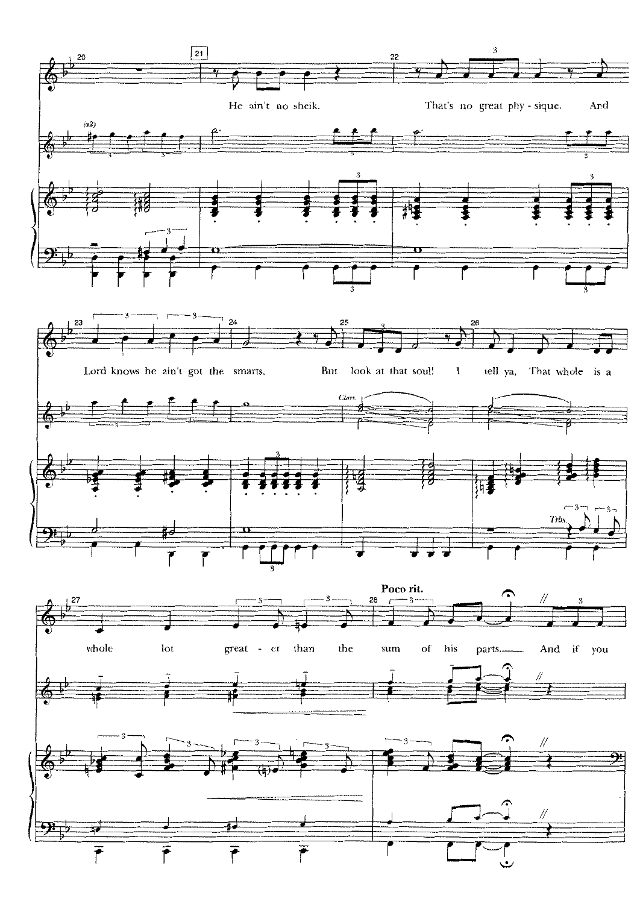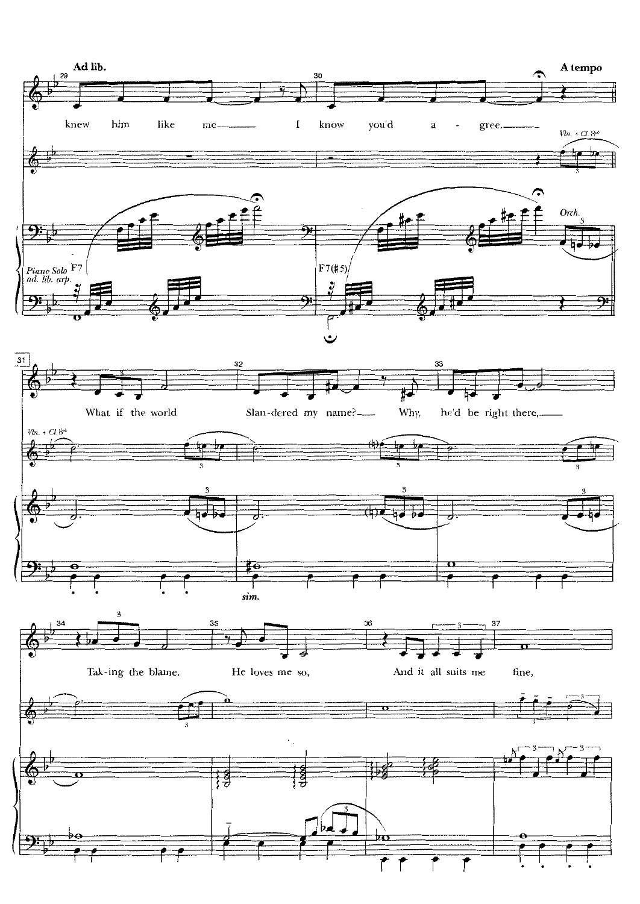